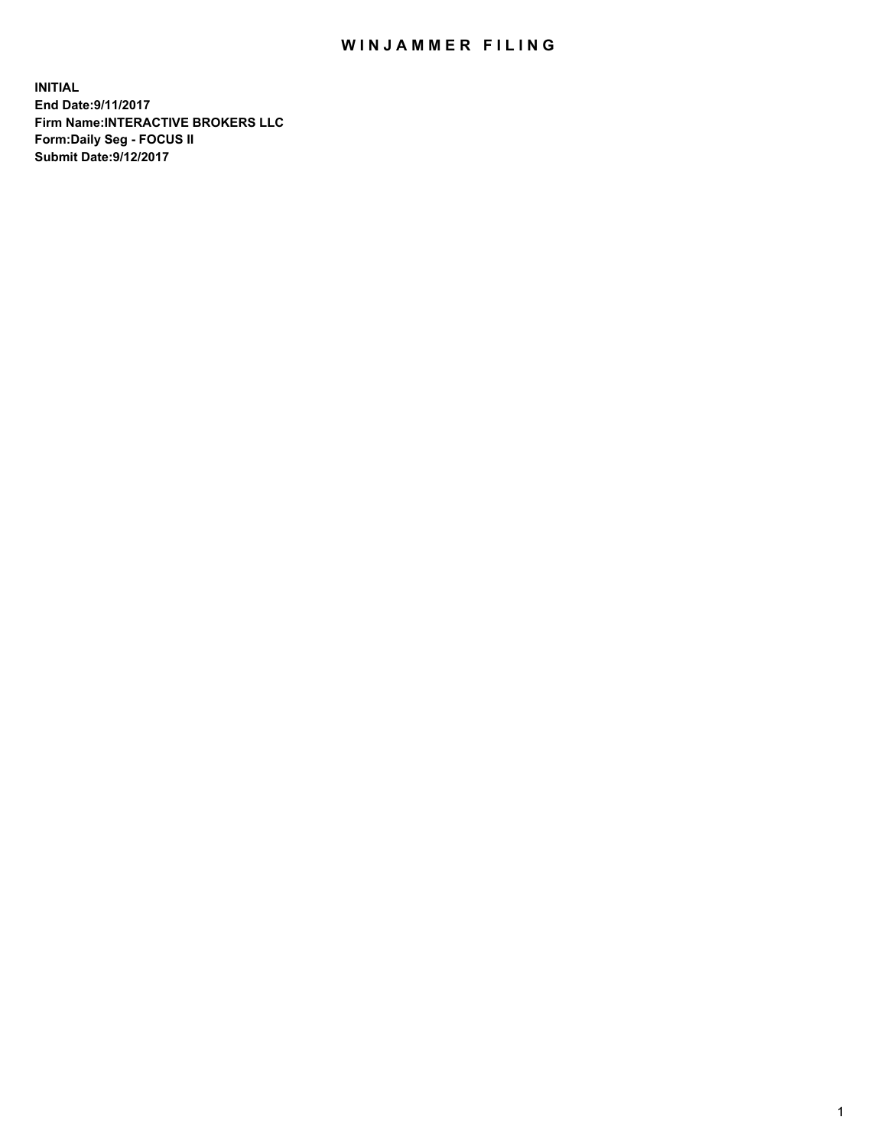## WIN JAMMER FILING

**INITIAL End Date:9/11/2017 Firm Name:INTERACTIVE BROKERS LLC Form:Daily Seg - FOCUS II Submit Date:9/12/2017**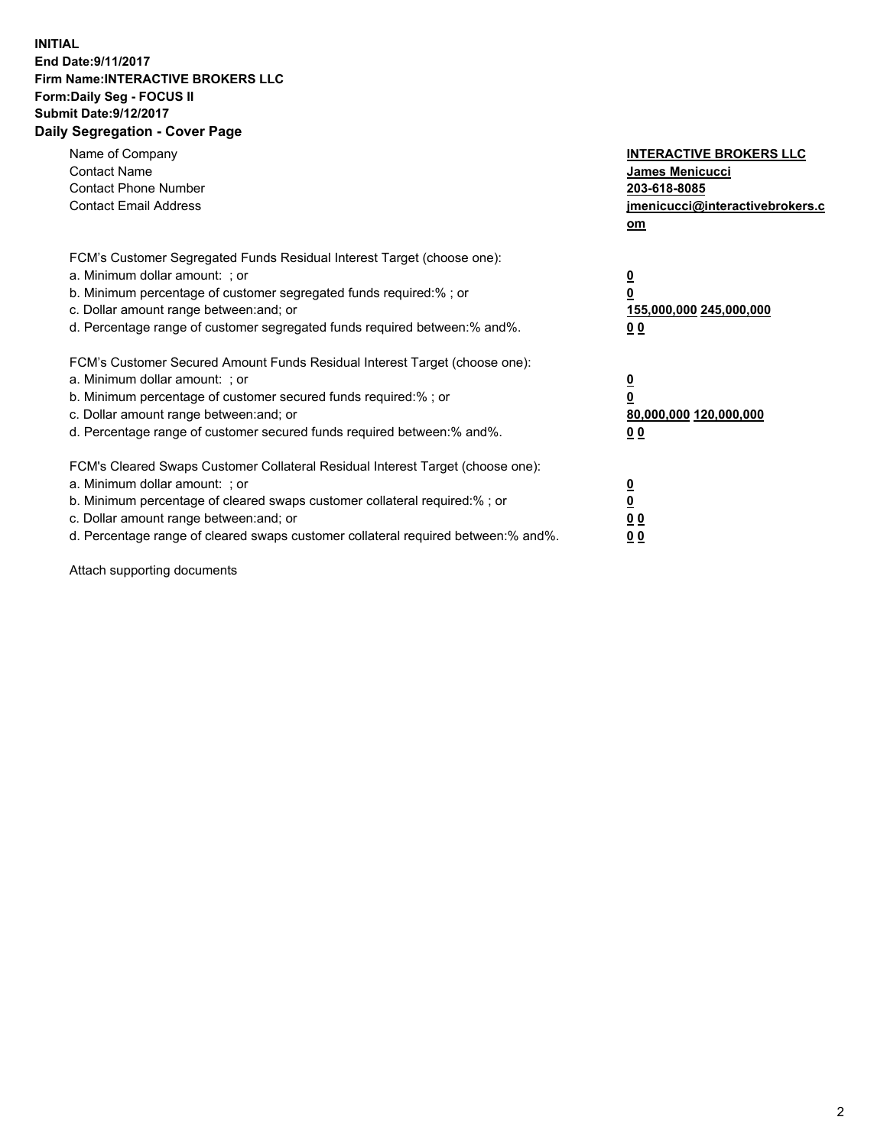## **INITIAL End Date:9/11/2017 Firm Name:INTERACTIVE BROKERS LLC Form:Daily Seg - FOCUS II Submit Date:9/12/2017 Daily Segregation - Cover Page**

| Name of Company<br><b>Contact Name</b><br><b>Contact Phone Number</b><br><b>Contact Email Address</b>                                                                                                                                                                                                                          | <b>INTERACTIVE BROKERS LLC</b><br>James Menicucci<br>203-618-8085<br>jmenicucci@interactivebrokers.c<br>om |
|--------------------------------------------------------------------------------------------------------------------------------------------------------------------------------------------------------------------------------------------------------------------------------------------------------------------------------|------------------------------------------------------------------------------------------------------------|
| FCM's Customer Segregated Funds Residual Interest Target (choose one):<br>a. Minimum dollar amount: ; or<br>b. Minimum percentage of customer segregated funds required:%; or<br>c. Dollar amount range between: and; or<br>d. Percentage range of customer segregated funds required between:% and%.                          | $\overline{\mathbf{0}}$<br>0<br>155,000,000 245,000,000<br>0 <sub>0</sub>                                  |
| FCM's Customer Secured Amount Funds Residual Interest Target (choose one):<br>a. Minimum dollar amount: ; or<br>b. Minimum percentage of customer secured funds required:%; or<br>c. Dollar amount range between: and; or<br>d. Percentage range of customer secured funds required between:% and%.                            | $\overline{\mathbf{0}}$<br>$\overline{\mathbf{0}}$<br>80,000,000 120,000,000<br>00                         |
| FCM's Cleared Swaps Customer Collateral Residual Interest Target (choose one):<br>a. Minimum dollar amount: ; or<br>b. Minimum percentage of cleared swaps customer collateral required:% ; or<br>c. Dollar amount range between: and; or<br>d. Percentage range of cleared swaps customer collateral required between:% and%. | $\overline{\mathbf{0}}$<br>$\overline{\mathbf{0}}$<br>0 <sub>0</sub><br><u>00</u>                          |

Attach supporting documents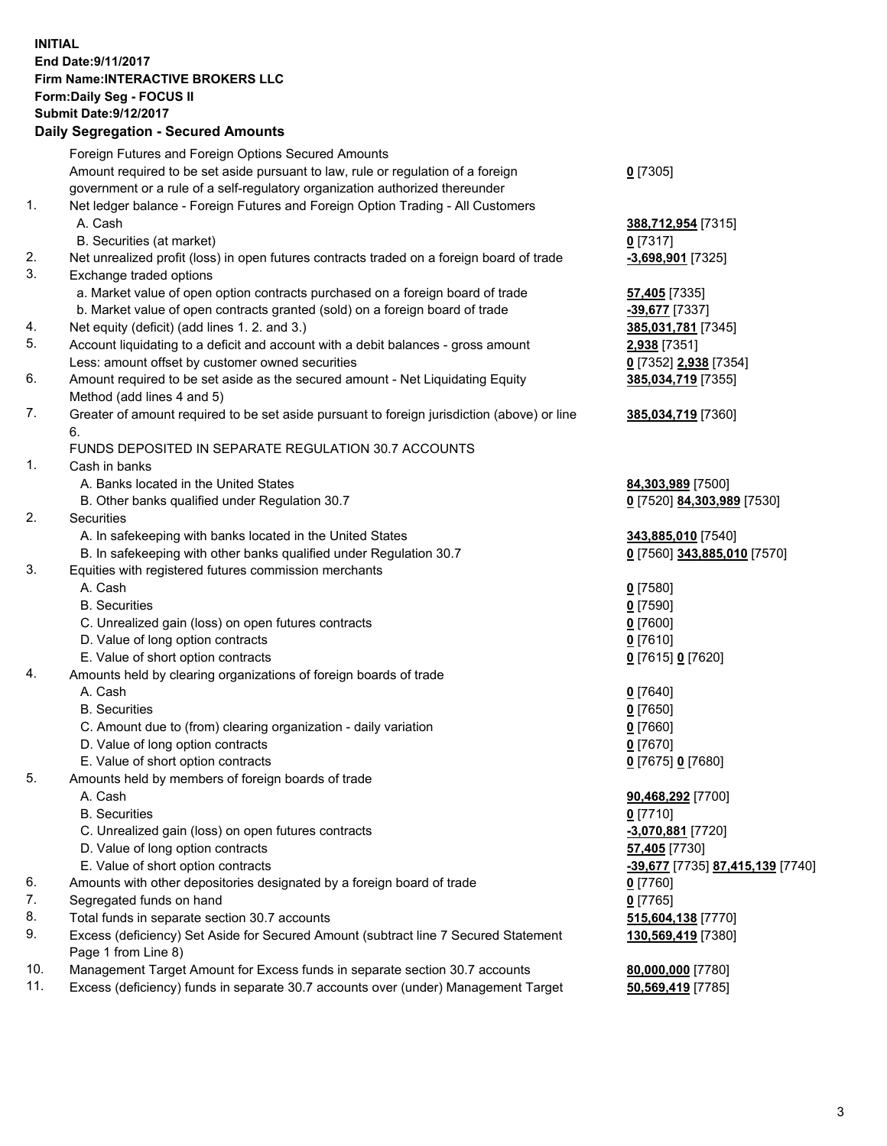## **INITIAL End Date:9/11/2017 Firm Name:INTERACTIVE BROKERS LLC Form:Daily Seg - FOCUS II Submit Date:9/12/2017 Daily Segregation - Secured Amounts**

|     | Dany Oogrogaach - Ocearea Amounta                                                                          |                                  |
|-----|------------------------------------------------------------------------------------------------------------|----------------------------------|
|     | Foreign Futures and Foreign Options Secured Amounts                                                        |                                  |
|     | Amount required to be set aside pursuant to law, rule or regulation of a foreign                           | $0$ [7305]                       |
|     | government or a rule of a self-regulatory organization authorized thereunder                               |                                  |
| 1.  | Net ledger balance - Foreign Futures and Foreign Option Trading - All Customers                            |                                  |
|     | A. Cash                                                                                                    | 388,712,954 [7315]               |
|     | B. Securities (at market)                                                                                  | $0$ [7317]                       |
| 2.  | Net unrealized profit (loss) in open futures contracts traded on a foreign board of trade                  | -3,698,901 [7325]                |
| 3.  | Exchange traded options                                                                                    |                                  |
|     | a. Market value of open option contracts purchased on a foreign board of trade                             | <b>57,405</b> [7335]             |
|     | b. Market value of open contracts granted (sold) on a foreign board of trade                               | -39,677 [7337]                   |
| 4.  | Net equity (deficit) (add lines 1.2. and 3.)                                                               | 385,031,781 [7345]               |
| 5.  | Account liquidating to a deficit and account with a debit balances - gross amount                          | 2,938 [7351]                     |
|     | Less: amount offset by customer owned securities                                                           | 0 [7352] 2,938 [7354]            |
| 6.  | Amount required to be set aside as the secured amount - Net Liquidating Equity                             | 385,034,719 [7355]               |
|     | Method (add lines 4 and 5)                                                                                 |                                  |
| 7.  | Greater of amount required to be set aside pursuant to foreign jurisdiction (above) or line                | 385,034,719 [7360]               |
|     | 6.                                                                                                         |                                  |
|     | FUNDS DEPOSITED IN SEPARATE REGULATION 30.7 ACCOUNTS                                                       |                                  |
| 1.  | Cash in banks                                                                                              |                                  |
|     | A. Banks located in the United States                                                                      | 84,303,989 [7500]                |
|     | B. Other banks qualified under Regulation 30.7                                                             | 0 [7520] 84,303,989 [7530]       |
| 2.  | Securities                                                                                                 |                                  |
|     | A. In safekeeping with banks located in the United States                                                  | 343,885,010 [7540]               |
|     | B. In safekeeping with other banks qualified under Regulation 30.7                                         | 0 [7560] 343,885,010 [7570]      |
| 3.  | Equities with registered futures commission merchants                                                      |                                  |
|     | A. Cash                                                                                                    | $0$ [7580]                       |
|     | <b>B.</b> Securities                                                                                       | $0$ [7590]                       |
|     | C. Unrealized gain (loss) on open futures contracts                                                        | $0$ [7600]                       |
|     | D. Value of long option contracts                                                                          | $0$ [7610]                       |
|     | E. Value of short option contracts                                                                         | 0 [7615] 0 [7620]                |
| 4.  | Amounts held by clearing organizations of foreign boards of trade                                          |                                  |
|     | A. Cash                                                                                                    | $0$ [7640]                       |
|     | <b>B.</b> Securities                                                                                       | $0$ [7650]                       |
|     | C. Amount due to (from) clearing organization - daily variation                                            | $0$ [7660]                       |
|     | D. Value of long option contracts                                                                          | $0$ [7670]                       |
|     | E. Value of short option contracts                                                                         | 0 [7675] 0 [7680]                |
| 5.  | Amounts held by members of foreign boards of trade                                                         |                                  |
|     | A. Cash                                                                                                    | 90,468,292 [7700]                |
|     | <b>B.</b> Securities                                                                                       | $0$ [7710]                       |
|     | C. Unrealized gain (loss) on open futures contracts                                                        | $-3,070,881$ [7720]              |
|     | D. Value of long option contracts                                                                          | 57,405 [7730]                    |
|     | E. Value of short option contracts                                                                         | -39,677 [7735] 87,415,139 [7740] |
| 6.  | Amounts with other depositories designated by a foreign board of trade                                     | $0$ [7760]                       |
| 7.  | Segregated funds on hand                                                                                   | $0$ [7765]                       |
| 8.  | Total funds in separate section 30.7 accounts                                                              | 515,604,138 [7770]               |
| 9.  | Excess (deficiency) Set Aside for Secured Amount (subtract line 7 Secured Statement<br>Page 1 from Line 8) | 130,569,419 [7380]               |
| 10. | Management Target Amount for Excess funds in separate section 30.7 accounts                                | 80,000,000 [7780]                |
| 11. | Excess (deficiency) funds in separate 30.7 accounts over (under) Management Target                         | 50,569,419 [7785]                |
|     |                                                                                                            |                                  |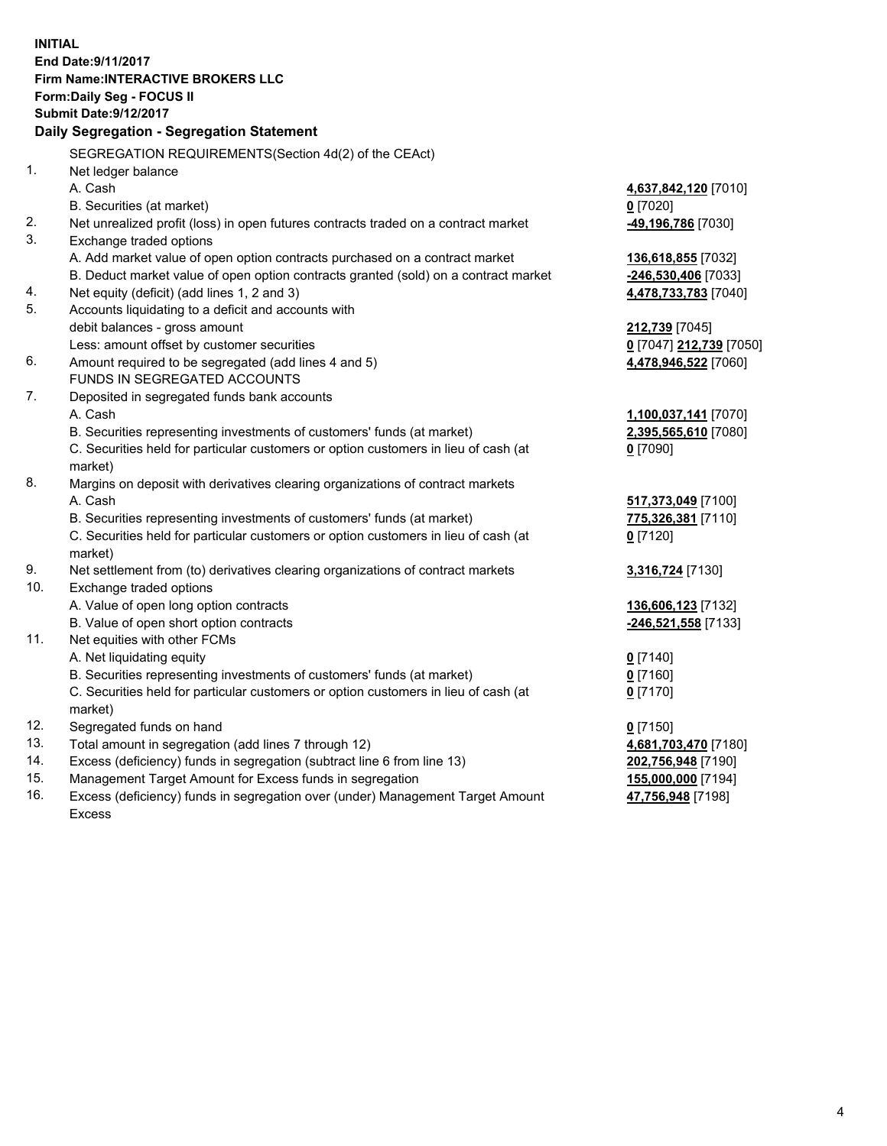**INITIAL End Date:9/11/2017 Firm Name:INTERACTIVE BROKERS LLC Form:Daily Seg - FOCUS II Submit Date:9/12/2017 Daily Segregation - Segregation Statement** SEGREGATION REQUIREMENTS(Section 4d(2) of the CEAct) 1. Net ledger balance A. Cash **4,637,842,120** [7010] B. Securities (at market) **0** [7020] 2. Net unrealized profit (loss) in open futures contracts traded on a contract market **-49,196,786** [7030] 3. Exchange traded options A. Add market value of open option contracts purchased on a contract market **136,618,855** [7032] B. Deduct market value of open option contracts granted (sold) on a contract market **-246,530,406** [7033] 4. Net equity (deficit) (add lines 1, 2 and 3) **4,478,733,783** [7040] 5. Accounts liquidating to a deficit and accounts with debit balances - gross amount **212,739** [7045] Less: amount offset by customer securities **0** [7047] **212,739** [7050] 6. Amount required to be segregated (add lines 4 and 5) **4,478,946,522** [7060] FUNDS IN SEGREGATED ACCOUNTS 7. Deposited in segregated funds bank accounts A. Cash **1,100,037,141** [7070] B. Securities representing investments of customers' funds (at market) **2,395,565,610** [7080] C. Securities held for particular customers or option customers in lieu of cash (at market) **0** [7090] 8. Margins on deposit with derivatives clearing organizations of contract markets A. Cash **517,373,049** [7100] B. Securities representing investments of customers' funds (at market) **775,326,381** [7110] C. Securities held for particular customers or option customers in lieu of cash (at market) **0** [7120] 9. Net settlement from (to) derivatives clearing organizations of contract markets **3,316,724** [7130] 10. Exchange traded options A. Value of open long option contracts **136,606,123** [7132] B. Value of open short option contracts **-246,521,558** [7133] 11. Net equities with other FCMs A. Net liquidating equity **0** [7140] B. Securities representing investments of customers' funds (at market) **0** [7160] C. Securities held for particular customers or option customers in lieu of cash (at market) **0** [7170] 12. Segregated funds on hand **0** [7150] 13. Total amount in segregation (add lines 7 through 12) **4,681,703,470** [7180] 14. Excess (deficiency) funds in segregation (subtract line 6 from line 13) **202,756,948** [7190] 15. Management Target Amount for Excess funds in segregation **155,000,000** [7194]

16. Excess (deficiency) funds in segregation over (under) Management Target Amount Excess

**47,756,948** [7198]